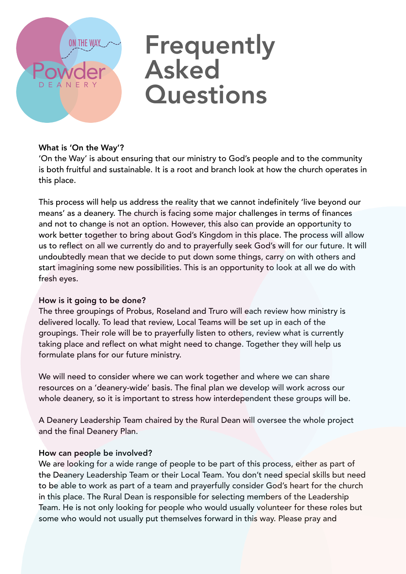# **ON THE WAY**

# **Frequently** Asked **Questions**

# What is 'On the Way'?

'On the Way' is about ensuring that our ministry to God's people and to the community is both fruitful and sustainable. It is a root and branch look at how the church operates in this place.

This process will help us address the reality that we cannot indefinitely 'live beyond our means' as a deanery. The church is facing some major challenges in terms of finances and not to change is not an option. However, this also can provide an opportunity to work better together to bring about God's Kingdom in this place. The process will allow us to reflect on all we currently do and to prayerfully seek God's will for our future. It will undoubtedly mean that we decide to put down some things, carry on with others and start imagining some new possibilities. This is an opportunity to look at all we do with fresh eyes.

# How is it going to be done?

The three groupings of Probus, Roseland and Truro will each review how ministry is delivered locally. To lead that review, Local Teams will be set up in each of the groupings. Their role will be to prayerfully listen to others, review what is currently taking place and reflect on what might need to change. Together they will help us formulate plans for our future ministry.

We will need to consider where we can work together and where we can share resources on a 'deanery-wide' basis. The final plan we develop will work across our whole deanery, so it is important to stress how interdependent these groups will be.

A Deanery Leadership Team chaired by the Rural Dean will oversee the whole project and the final Deanery Plan.

# How can people be involved?

We are looking for a wide range of people to be part of this process, either as part of the Deanery Leadership Team or their Local Team. You don't need special skills but need to be able to work as part of a team and prayerfully consider God's heart for the church in this place. The Rural Dean is responsible for selecting members of the Leadership Team. He is not only looking for people who would usually volunteer for these roles but some who would not usually put themselves forward in this way. Please pray and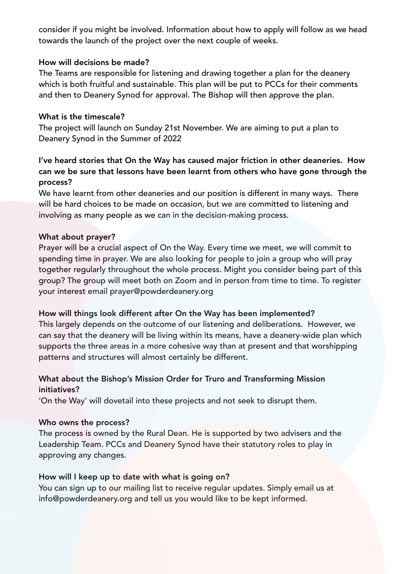consider if you might be involved. Information about how to apply will follow as we head towards the launch of the project over the next couple of weeks.

#### How will decisions be made?

The Teams are responsible for listening and drawing together a plan for the deanery which is both fruitful and sustainable. This plan will be put to PCCs for their comments and then to Deanery Synod for approval. The Bishop will then approve the plan.

#### What is the timescale?

The project will launch on Sunday 21st November. We are aiming to put a plan to Deanery Synod in the Summer of 2022

# I've heard stories that On the Way has caused major friction in other deaneries. How can we be sure that lessons have been learnt from others who have gone through the process?

We have learnt from other deaneries and our position is different in many ways. There will be hard choices to be made on occasion, but we are committed to listening and involving as many people as we can in the decision-making process.

#### What about prayer?

Prayer will be a crucial aspect of On the Way. Every time we meet, we will commit to spending time in prayer. We are also looking for people to join a group who will pray together regularly throughout the whole process. Might you consider being part of this group? The group will meet both on Zoom and in person from time to time. To register your interest email prayer@powderdeanery.org

#### How will things look different after On the Way has been implemented?

This largely depends on the outcome of our listening and deliberations. However, we can say that the deanery will be living within its means, have a deanery-wide plan which supports the three areas in a more cohesive way than at present and that worshipping patterns and structures will almost certainly be different.

# What about the Bishop's Mission Order for Truro and Transforming Mission initiatives?

'On the Way' will dovetail into these projects and not seek to disrupt them.

#### Who owns the process?

The process is owned by the Rural Dean. He is supported by two advisers and the Leadership Team. PCCs and Deanery Synod have their statutory roles to play in approving any changes.

# How will I keep up to date with what is going on?

You can sign up to our mailing list to receive regular updates. Simply email us at [info@powderdeanery.org](mailto:info@powderdeanery.org) and tell us you would like to be kept informed.